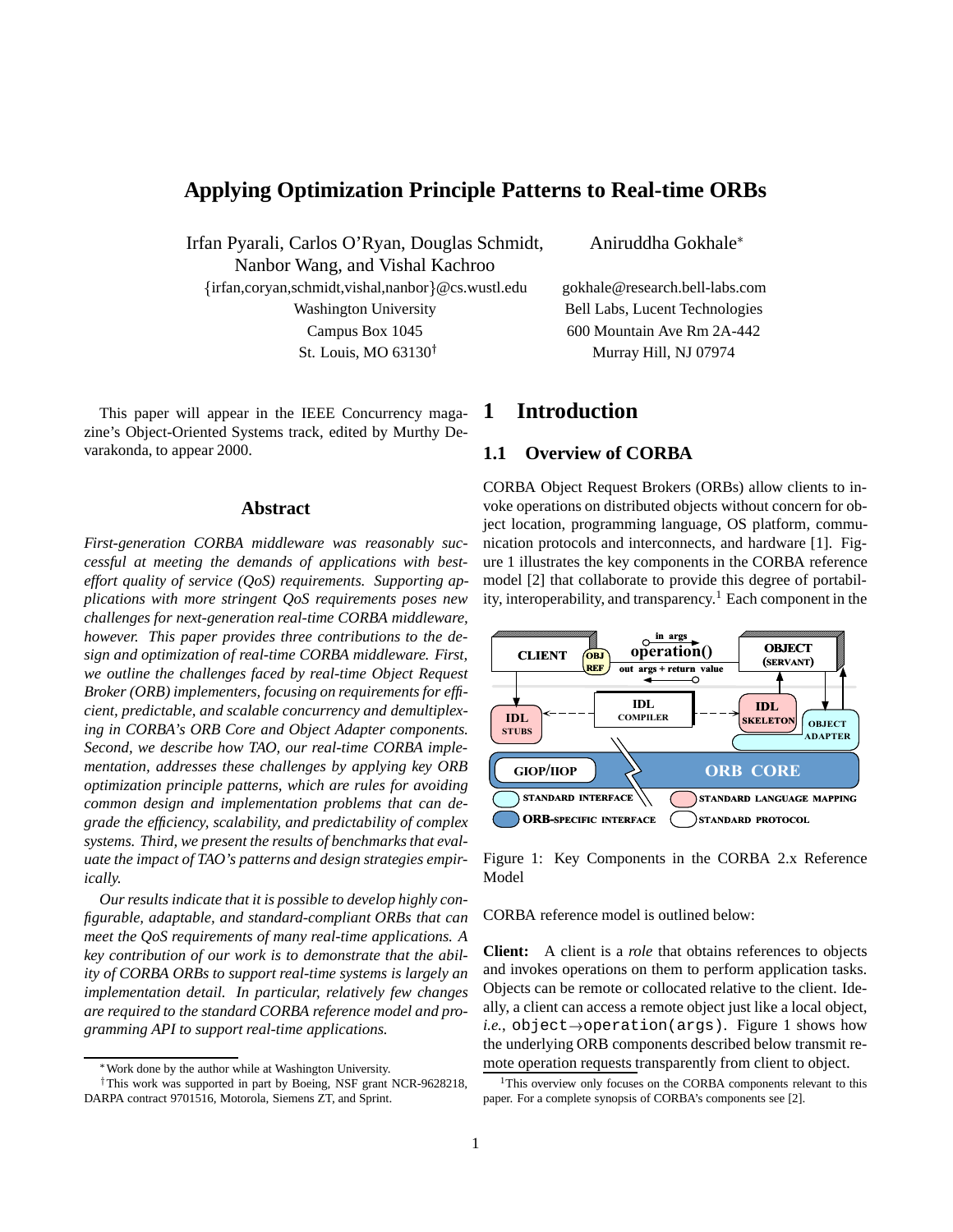## **Applying Optimization Principle Patterns to Real-time ORBs**

Irfan Pyarali, Carlos O'Ryan, Douglas Schmidt, Aniruddha Gokhale\* Nanbor Wang, and Vishal Kachroo

Washington University Bell Labs, Lucent Technologies Campus Box 1045 600 Mountain Ave Rm 2A-442 St. Louis, MO  $63130^{\dagger}$ 

This paper will appear in the IEEE Concurrency magazine's Object-Oriented Systems track, edited by Murthy Devarakonda, to appear 2000.

### **Abstract**

*First-generation CORBA middleware was reasonably successful at meeting the demands of applications with besteffort quality of service (QoS) requirements. Supporting applications with more stringent QoS requirements poses new challenges for next-generation real-time CORBA middleware, however. This paper provides three contributions to the design and optimization of real-time CORBA middleware. First, we outline the challenges faced by real-time Object Request Broker (ORB) implementers, focusing on requirements for efficient, predictable, and scalable concurrency and demultiplexing in CORBA's ORB Core and Object Adapter components. Second, we describe how TAO, our real-time CORBA implementation, addresses these challenges by applying key ORB optimization principle patterns, which are rules for avoiding common design and implementation problems that can degrade the efficiency, scalability, and predictability of complex systems. Third, we present the results of benchmarks that evaluate the impact of TAO's patterns and design strategies empirically.*

*Our results indicate that it is possible to develop highly configurable, adaptable, and standard-compliant ORBs that can meet the QoS requirements of many real-time applications. A key contribution of our work is to demonstrate that the ability of CORBA ORBs to support real-time systems is largely an implementation detail. In particular, relatively few changes are required to the standard CORBA reference model and programming API to support real-time applications.*

firfan,coryan,schmidt,vishal,nanborg@cs.wustl.edu gokhale@research.bell-labs.com Murray Hill, NJ 07974

### **1 Introduction**

### **1.1 Overview of CORBA**

CORBA Object Request Brokers (ORBs) allow clients to invoke operations on distributed objects without concern for object location, programming language, OS platform, communication protocols and interconnects, and hardware [1]. Figure 1 illustrates the key components in the CORBA reference model [2] that collaborate to provide this degree of portability, interoperability, and transparency.<sup>1</sup> Each component in the



Figure 1: Key Components in the CORBA 2.x Reference Model

CORBA reference model is outlined below:

**Client:** A client is a *role* that obtains references to objects and invokes operations on them to perform application tasks. Objects can be remote or collocated relative to the client. Ideally, a client can access a remote object just like a local object, *i.e.*, object $\rightarrow$ operation(args). Figure 1 shows how the underlying ORB components described below transmit remote operation requests transparently from client to object.

Work done by the author while at Washington University.

<sup>&</sup>lt;sup>†</sup>This work was supported in part by Boeing, NSF grant NCR-9628218, DARPA contract 9701516, Motorola, Siemens ZT, and Sprint.

<sup>&</sup>lt;sup>1</sup>This overview only focuses on the CORBA components relevant to this paper. For a complete synopsis of CORBA's components see [2].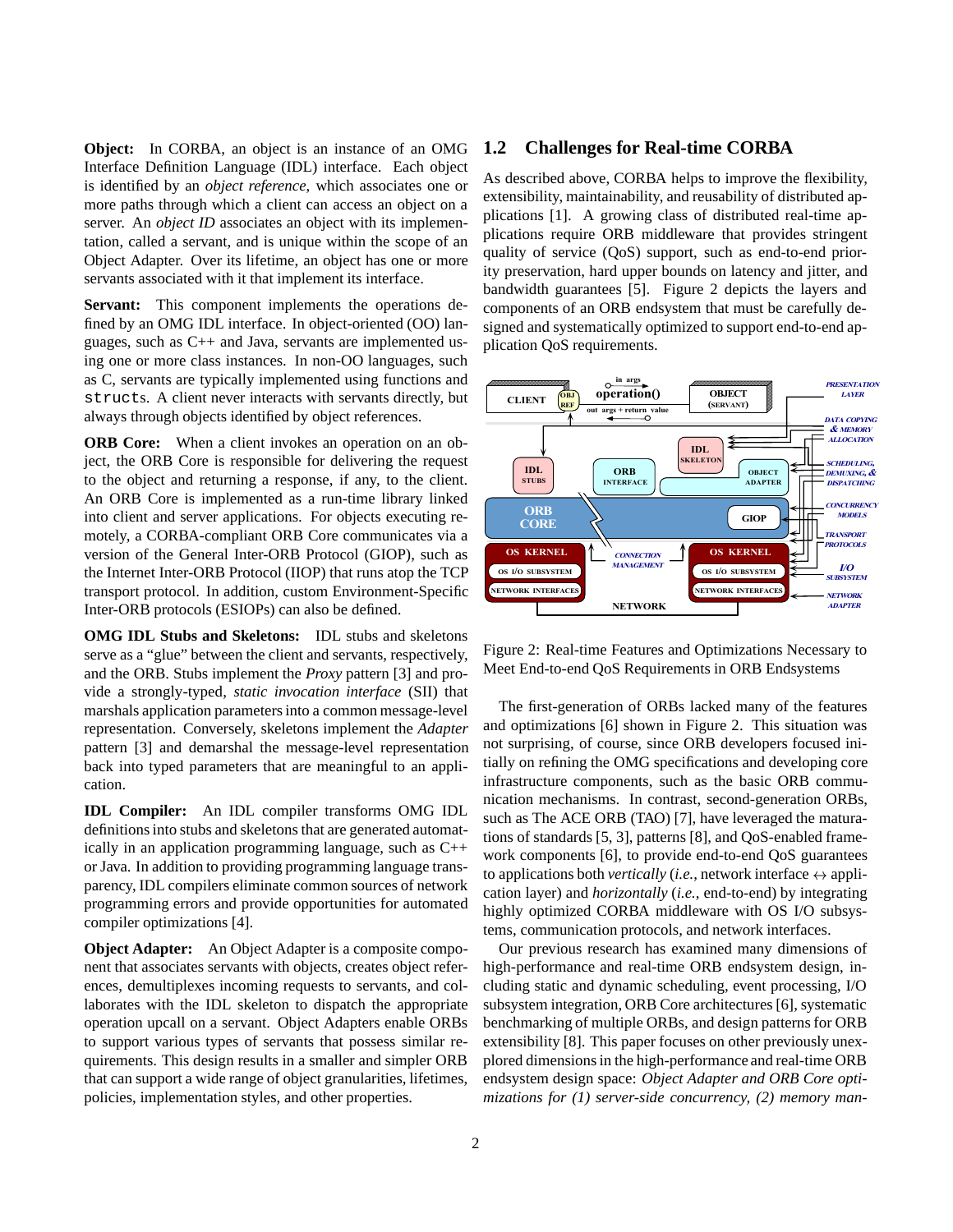**Object:** In CORBA, an object is an instance of an OMG Interface Definition Language (IDL) interface. Each object is identified by an *object reference*, which associates one or more paths through which a client can access an object on a server. An *object ID* associates an object with its implementation, called a servant, and is unique within the scope of an Object Adapter. Over its lifetime, an object has one or more servants associated with it that implement its interface.

**Servant:** This component implements the operations defined by an OMG IDL interface. In object-oriented (OO) languages, such as C++ and Java, servants are implemented using one or more class instances. In non-OO languages, such as C, servants are typically implemented using functions and structs. A client never interacts with servants directly, but always through objects identified by object references.

**ORB Core:** When a client invokes an operation on an object, the ORB Core is responsible for delivering the request to the object and returning a response, if any, to the client. An ORB Core is implemented as a run-time library linked into client and server applications. For objects executing remotely, a CORBA-compliant ORB Core communicates via a version of the General Inter-ORB Protocol (GIOP), such as the Internet Inter-ORB Protocol (IIOP) that runs atop the TCP transport protocol. In addition, custom Environment-Specific Inter-ORB protocols (ESIOPs) can also be defined.

**OMG IDL Stubs and Skeletons:** IDL stubs and skeletons serve as a "glue" between the client and servants, respectively, and the ORB. Stubs implement the *Proxy* pattern [3] and provide a strongly-typed, *static invocation interface* (SII) that marshals application parameters into a common message-level representation. Conversely, skeletons implement the *Adapter* pattern [3] and demarshal the message-level representation back into typed parameters that are meaningful to an application.

**IDL Compiler:** An IDL compiler transforms OMG IDL definitions into stubs and skeletons that are generated automatically in an application programming language, such as C++ or Java. In addition to providing programming language transparency, IDL compilers eliminate common sources of network programming errors and provide opportunities for automated compiler optimizations [4].

**Object Adapter:** An Object Adapter is a composite component that associates servants with objects, creates object references, demultiplexes incoming requests to servants, and collaborates with the IDL skeleton to dispatch the appropriate operation upcall on a servant. Object Adapters enable ORBs to support various types of servants that possess similar requirements. This design results in a smaller and simpler ORB that can support a wide range of object granularities, lifetimes, policies, implementation styles, and other properties.

### **1.2 Challenges for Real-time CORBA**

As described above, CORBA helps to improve the flexibility, extensibility, maintainability, and reusability of distributed applications [1]. A growing class of distributed real-time applications require ORB middleware that provides stringent quality of service (QoS) support, such as end-to-end priority preservation, hard upper bounds on latency and jitter, and bandwidth guarantees [5]. Figure 2 depicts the layers and components of an ORB endsystem that must be carefully designed and systematically optimized to support end-to-end application QoS requirements.



Figure 2: Real-time Features and Optimizations Necessary to Meet End-to-end QoS Requirements in ORB Endsystems

The first-generation of ORBs lacked many of the features and optimizations [6] shown in Figure 2. This situation was not surprising, of course, since ORB developers focused initially on refining the OMG specifications and developing core infrastructure components, such as the basic ORB communication mechanisms. In contrast, second-generation ORBs, such as The ACE ORB (TAO) [7], have leveraged the maturations of standards [5, 3], patterns [8], and QoS-enabled framework components [6], to provide end-to-end QoS guarantees to applications both *vertically* (*i.e.*, network interface  $\leftrightarrow$  application layer) and *horizontally* (*i.e.*, end-to-end) by integrating highly optimized CORBA middleware with OS I/O subsystems, communication protocols, and network interfaces.

Our previous research has examined many dimensions of high-performance and real-time ORB endsystem design, including static and dynamic scheduling, event processing, I/O subsystem integration, ORB Core architectures [6], systematic benchmarking of multiple ORBs, and design patterns for ORB extensibility [8]. This paper focuses on other previously unexplored dimensions in the high-performance and real-time ORB endsystem design space: *Object Adapter and ORB Core optimizations for (1) server-side concurrency, (2) memory man-*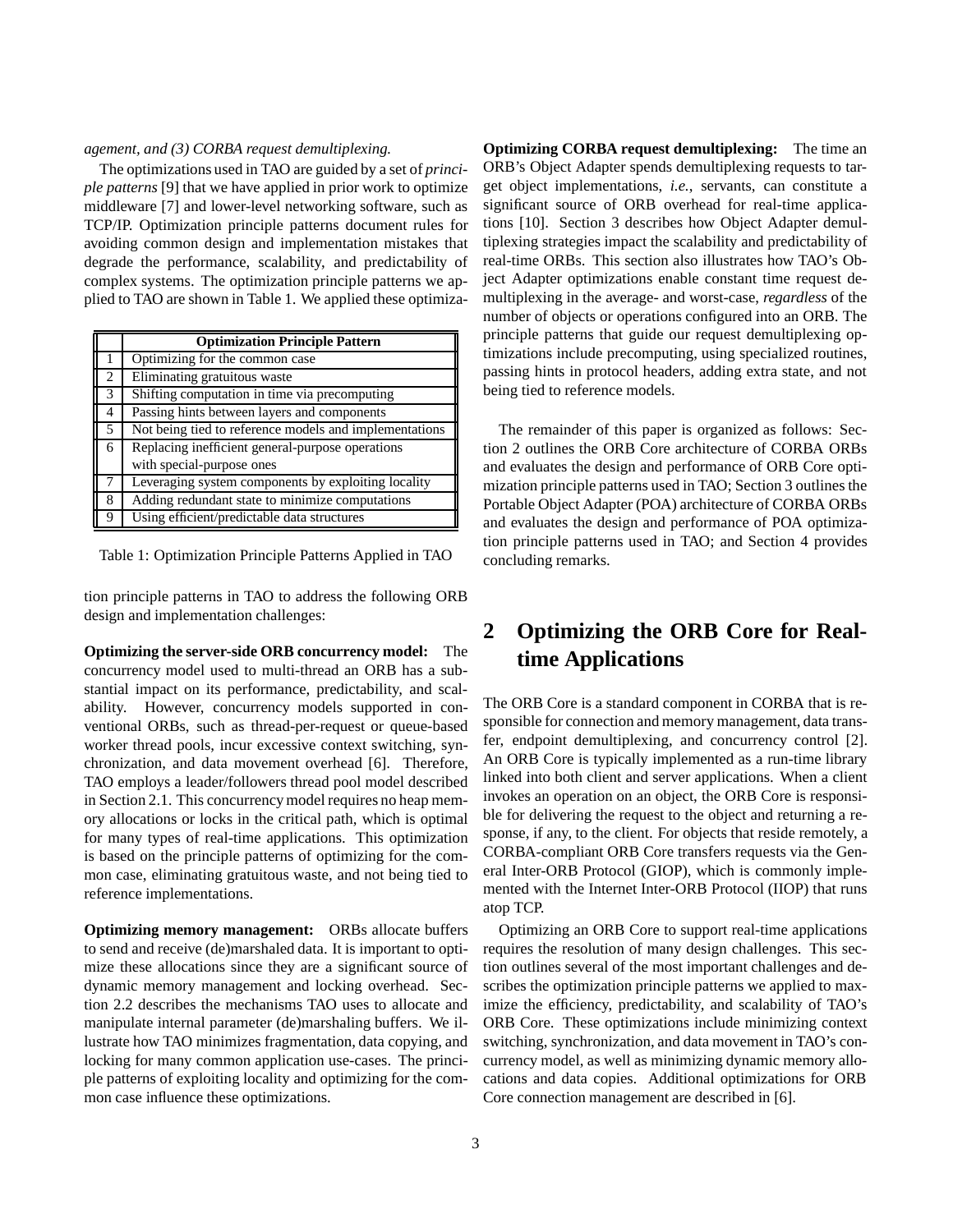### *agement, and (3) CORBA request demultiplexing.*

The optimizations used in TAO are guided by a set of *principle patterns* [9] that we have applied in prior work to optimize middleware [7] and lower-level networking software, such as TCP/IP. Optimization principle patterns document rules for avoiding common design and implementation mistakes that degrade the performance, scalability, and predictability of complex systems. The optimization principle patterns we applied to TAO are shown in Table 1. We applied these optimiza-

|                | <b>Optimization Principle Pattern</b>                  |
|----------------|--------------------------------------------------------|
|                | Optimizing for the common case                         |
| 2              | Eliminating gratuitous waste                           |
| 3              | Shifting computation in time via precomputing          |
| 4              | Passing hints between layers and components            |
| $\overline{5}$ | Not being tied to reference models and implementations |
| 6              | Replacing inefficient general-purpose operations       |
|                | with special-purpose ones                              |
|                | Leveraging system components by exploiting locality    |
| 8              | Adding redundant state to minimize computations        |
| 9              | Using efficient/predictable data structures            |

Table 1: Optimization Principle Patterns Applied in TAO

tion principle patterns in TAO to address the following ORB design and implementation challenges:

**Optimizing the server-side ORB concurrency model:** The concurrency model used to multi-thread an ORB has a substantial impact on its performance, predictability, and scalability. However, concurrency models supported in conventional ORBs, such as thread-per-request or queue-based worker thread pools, incur excessive context switching, synchronization, and data movement overhead [6]. Therefore, TAO employs a leader/followers thread pool model described in Section 2.1. This concurrency model requires no heap memory allocations or locks in the critical path, which is optimal for many types of real-time applications. This optimization is based on the principle patterns of optimizing for the common case, eliminating gratuitous waste, and not being tied to reference implementations.

**Optimizing memory management:** ORBs allocate buffers to send and receive (de)marshaled data. It is important to optimize these allocations since they are a significant source of dynamic memory management and locking overhead. Section 2.2 describes the mechanisms TAO uses to allocate and manipulate internal parameter (de)marshaling buffers. We illustrate how TAO minimizes fragmentation, data copying, and locking for many common application use-cases. The principle patterns of exploiting locality and optimizing for the common case influence these optimizations.

**Optimizing CORBA request demultiplexing:** The time an ORB's Object Adapter spends demultiplexing requests to target object implementations, *i.e.*, servants, can constitute a significant source of ORB overhead for real-time applications [10]. Section 3 describes how Object Adapter demultiplexing strategies impact the scalability and predictability of real-time ORBs. This section also illustrates how TAO's Object Adapter optimizations enable constant time request demultiplexing in the average- and worst-case, *regardless* of the number of objects or operations configured into an ORB. The principle patterns that guide our request demultiplexing optimizations include precomputing, using specialized routines, passing hints in protocol headers, adding extra state, and not being tied to reference models.

The remainder of this paper is organized as follows: Section 2 outlines the ORB Core architecture of CORBA ORBs and evaluates the design and performance of ORB Core optimization principle patterns used in TAO; Section 3 outlines the Portable Object Adapter (POA) architecture of CORBA ORBs and evaluates the design and performance of POA optimization principle patterns used in TAO; and Section 4 provides concluding remarks.

# **2 Optimizing the ORB Core for Realtime Applications**

The ORB Core is a standard component in CORBA that is responsible for connection and memory management, data transfer, endpoint demultiplexing, and concurrency control [2]. An ORB Core is typically implemented as a run-time library linked into both client and server applications. When a client invokes an operation on an object, the ORB Core is responsible for delivering the request to the object and returning a response, if any, to the client. For objects that reside remotely, a CORBA-compliant ORB Core transfers requests via the General Inter-ORB Protocol (GIOP), which is commonly implemented with the Internet Inter-ORB Protocol (IIOP) that runs atop TCP.

Optimizing an ORB Core to support real-time applications requires the resolution of many design challenges. This section outlines several of the most important challenges and describes the optimization principle patterns we applied to maximize the efficiency, predictability, and scalability of TAO's ORB Core. These optimizations include minimizing context switching, synchronization, and data movement in TAO's concurrency model, as well as minimizing dynamic memory allocations and data copies. Additional optimizations for ORB Core connection management are described in [6].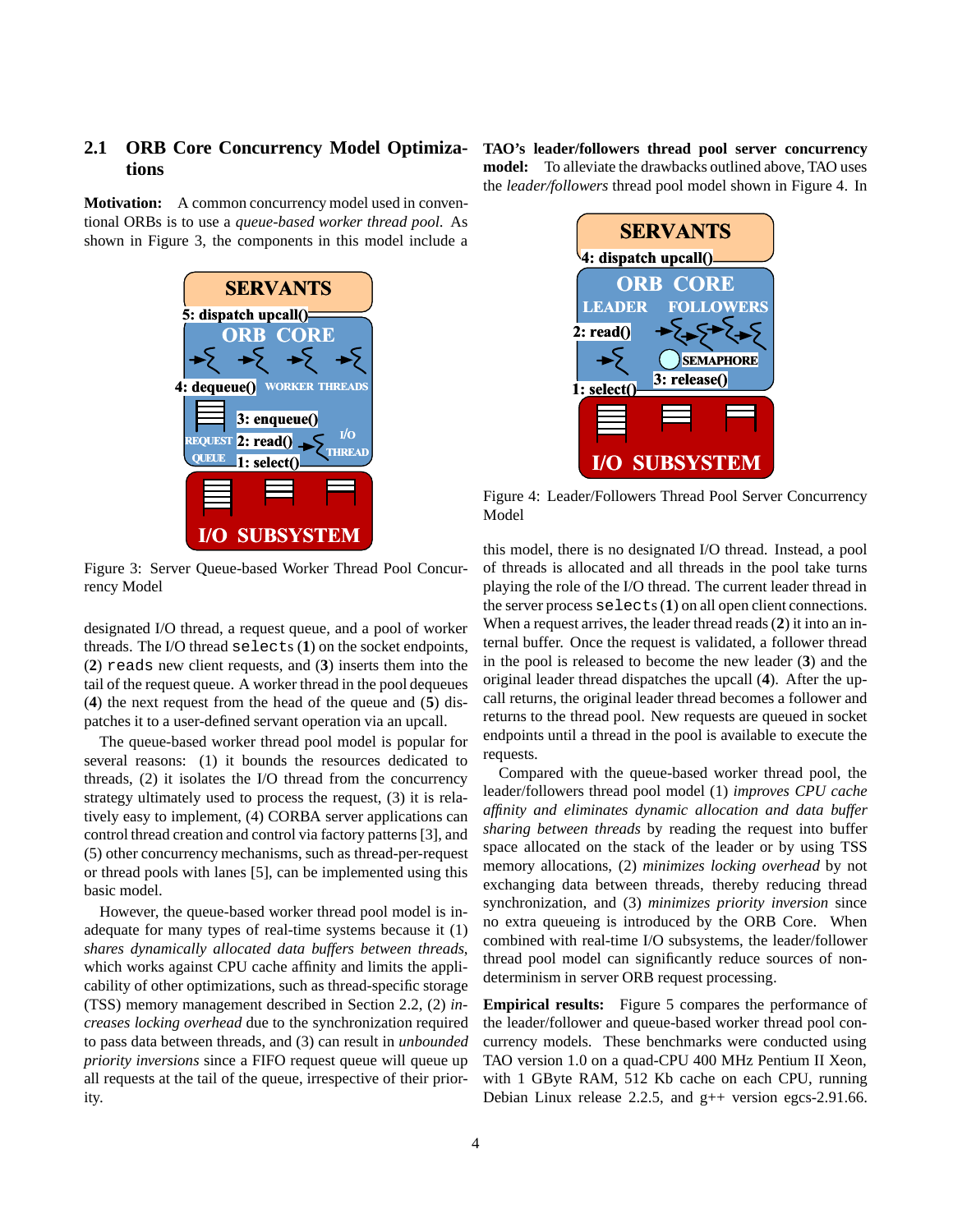### **2.1 ORB Core Concurrency Model Optimizations**

**Motivation:** A common concurrency model used in conventional ORBs is to use a *queue-based worker thread pool*. As shown in Figure 3, the components in this model include a



Figure 3: Server Queue-based Worker Thread Pool Concurrency Model

designated I/O thread, a request queue, and a pool of worker threads. The I/O thread selects (**1**) on the socket endpoints, (**2**) reads new client requests, and (**3**) inserts them into the tail of the request queue. A worker thread in the pool dequeues (**4**) the next request from the head of the queue and (**5**) dispatches it to a user-defined servant operation via an upcall.

The queue-based worker thread pool model is popular for several reasons: (1) it bounds the resources dedicated to threads, (2) it isolates the I/O thread from the concurrency strategy ultimately used to process the request, (3) it is relatively easy to implement, (4) CORBA server applications can control thread creation and control via factory patterns [3], and (5) other concurrency mechanisms, such as thread-per-request or thread pools with lanes [5], can be implemented using this basic model.

However, the queue-based worker thread pool model is inadequate for many types of real-time systems because it (1) *shares dynamically allocated data buffers between threads*, which works against CPU cache affinity and limits the applicability of other optimizations, such as thread-specific storage (TSS) memory management described in Section 2.2, (2) *increases locking overhead* due to the synchronization required to pass data between threads, and (3) can result in *unbounded priority inversions* since a FIFO request queue will queue up all requests at the tail of the queue, irrespective of their priority.

**TAO's leader/followers thread pool server concurrency model:** To alleviate the drawbacks outlined above, TAO uses the *leader/followers* thread pool model shown in Figure 4. In



Figure 4: Leader/Followers Thread Pool Server Concurrency Model

this model, there is no designated I/O thread. Instead, a pool of threads is allocated and all threads in the pool take turns playing the role of the I/O thread. The current leader thread in the server process selects (**1**) on all open client connections. When a request arrives, the leader thread reads (**2**) it into an internal buffer. Once the request is validated, a follower thread in the pool is released to become the new leader (**3**) and the original leader thread dispatches the upcall (**4**). After the upcall returns, the original leader thread becomes a follower and returns to the thread pool. New requests are queued in socket endpoints until a thread in the pool is available to execute the requests.

Compared with the queue-based worker thread pool, the leader/followers thread pool model (1) *improves CPU cache affinity and eliminates dynamic allocation and data buffer sharing between threads* by reading the request into buffer space allocated on the stack of the leader or by using TSS memory allocations, (2) *minimizes locking overhead* by not exchanging data between threads, thereby reducing thread synchronization, and (3) *minimizes priority inversion* since no extra queueing is introduced by the ORB Core. When combined with real-time I/O subsystems, the leader/follower thread pool model can significantly reduce sources of nondeterminism in server ORB request processing.

**Empirical results:** Figure 5 compares the performance of the leader/follower and queue-based worker thread pool concurrency models. These benchmarks were conducted using TAO version 1.0 on a quad-CPU 400 MHz Pentium II Xeon, with 1 GByte RAM, 512 Kb cache on each CPU, running Debian Linux release 2.2.5, and g++ version egcs-2.91.66.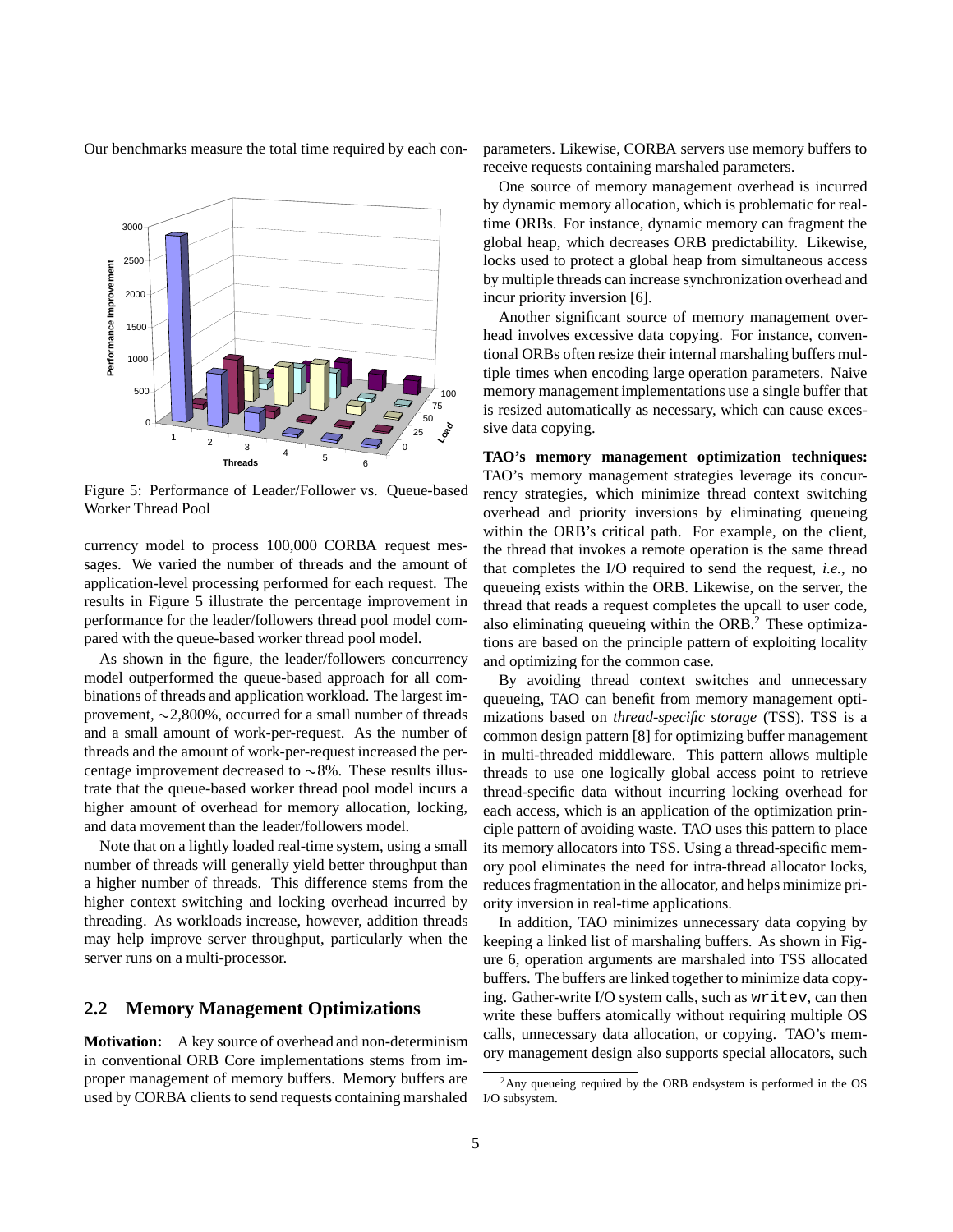Our benchmarks measure the total time required by each con-



Figure 5: Performance of Leader/Follower vs. Queue-based Worker Thread Pool

currency model to process 100,000 CORBA request messages. We varied the number of threads and the amount of application-level processing performed for each request. The results in Figure 5 illustrate the percentage improvement in performance for the leader/followers thread pool model compared with the queue-based worker thread pool model.

As shown in the figure, the leader/followers concurrency model outperformed the queue-based approach for all combinations of threads and application workload. The largest improvement,  $\sim$  2,800%, occurred for a small number of threads and a small amount of work-per-request. As the number of threads and the amount of work-per-request increased the percentage improvement decreased to  $\sim 8\%$ . These results illustrate that the queue-based worker thread pool model incurs a higher amount of overhead for memory allocation, locking, and data movement than the leader/followers model.

Note that on a lightly loaded real-time system, using a small number of threads will generally yield better throughput than a higher number of threads. This difference stems from the higher context switching and locking overhead incurred by threading. As workloads increase, however, addition threads may help improve server throughput, particularly when the server runs on a multi-processor.

### **2.2 Memory Management Optimizations**

**Motivation:** A key source of overhead and non-determinism in conventional ORB Core implementations stems from improper management of memory buffers. Memory buffers are used by CORBA clients to send requests containing marshaled parameters. Likewise, CORBA servers use memory buffers to receive requests containing marshaled parameters.

One source of memory management overhead is incurred by dynamic memory allocation, which is problematic for realtime ORBs. For instance, dynamic memory can fragment the global heap, which decreases ORB predictability. Likewise, locks used to protect a global heap from simultaneous access by multiple threads can increase synchronization overhead and incur priority inversion [6].

Another significant source of memory management overhead involves excessive data copying. For instance, conventional ORBs often resize their internal marshaling buffers multiple times when encoding large operation parameters. Naive memory management implementations use a single buffer that is resized automatically as necessary, which can cause excessive data copying.

**TAO's memory management optimization techniques:** TAO's memory management strategies leverage its concurrency strategies, which minimize thread context switching overhead and priority inversions by eliminating queueing within the ORB's critical path. For example, on the client, the thread that invokes a remote operation is the same thread that completes the I/O required to send the request, *i.e.*, no queueing exists within the ORB. Likewise, on the server, the thread that reads a request completes the upcall to user code, also eliminating queueing within the  $ORB<sup>2</sup>$  These optimizations are based on the principle pattern of exploiting locality and optimizing for the common case.

By avoiding thread context switches and unnecessary queueing, TAO can benefit from memory management optimizations based on *thread-specific storage* (TSS). TSS is a common design pattern [8] for optimizing buffer management in multi-threaded middleware. This pattern allows multiple threads to use one logically global access point to retrieve thread-specific data without incurring locking overhead for each access, which is an application of the optimization principle pattern of avoiding waste. TAO uses this pattern to place its memory allocators into TSS. Using a thread-specific memory pool eliminates the need for intra-thread allocator locks, reduces fragmentation in the allocator, and helps minimize priority inversion in real-time applications.

In addition, TAO minimizes unnecessary data copying by keeping a linked list of marshaling buffers. As shown in Figure 6, operation arguments are marshaled into TSS allocated buffers. The buffers are linked together to minimize data copying. Gather-write I/O system calls, such as writev, can then write these buffers atomically without requiring multiple OS calls, unnecessary data allocation, or copying. TAO's memory management design also supports special allocators, such

<sup>&</sup>lt;sup>2</sup>Any queueing required by the ORB endsystem is performed in the OS I/O subsystem.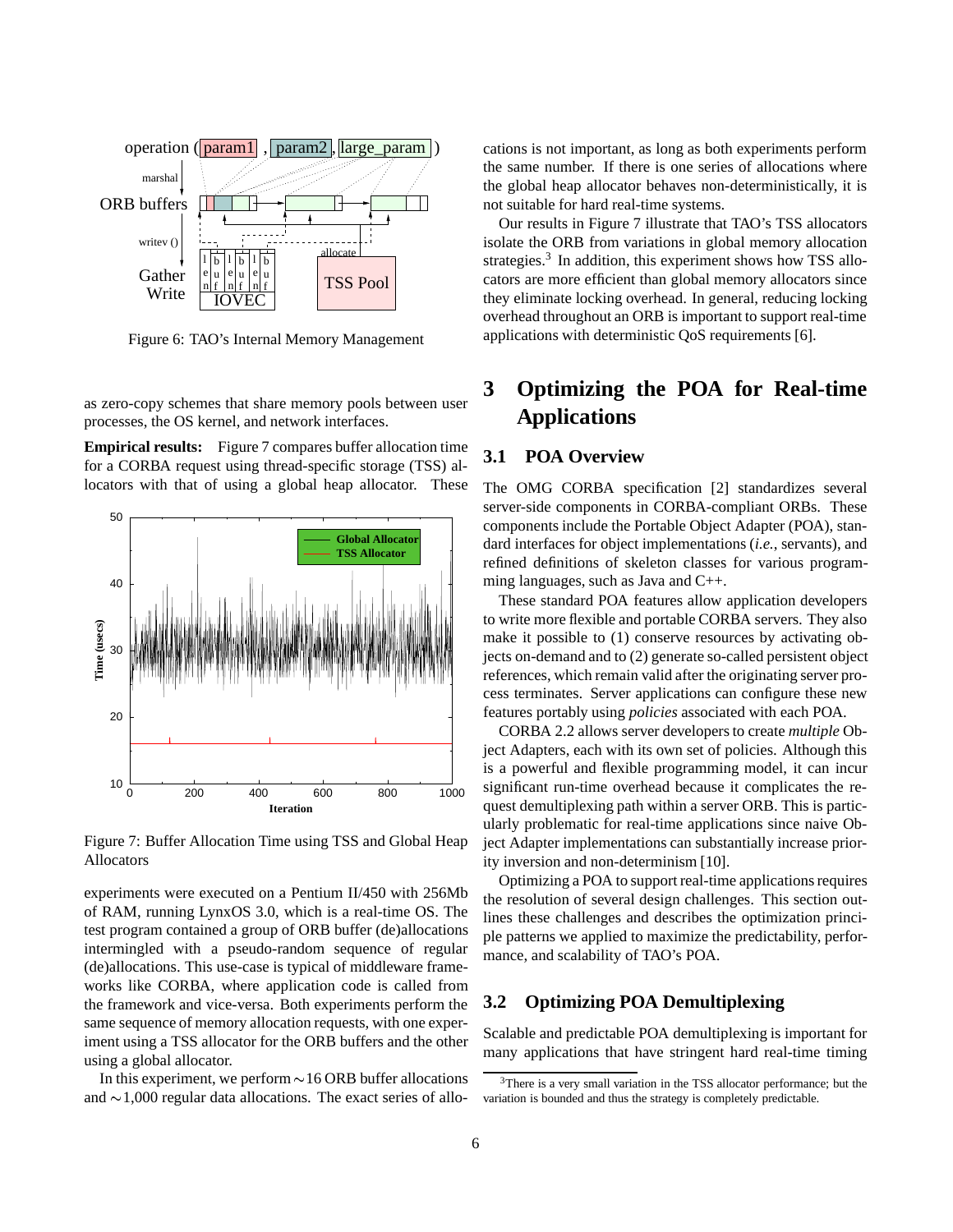

Figure 6: TAO's Internal Memory Management

as zero-copy schemes that share memory pools between user processes, the OS kernel, and network interfaces.

**Empirical results:** Figure 7 compares buffer allocation time for a CORBA request using thread-specific storage (TSS) allocators with that of using a global heap allocator. These



Figure 7: Buffer Allocation Time using TSS and Global Heap Allocators

experiments were executed on a Pentium II/450 with 256Mb of RAM, running LynxOS 3.0, which is a real-time OS. The test program contained a group of ORB buffer (de)allocations intermingled with a pseudo-random sequence of regular (de)allocations. This use-case is typical of middleware frameworks like CORBA, where application code is called from the framework and vice-versa. Both experiments perform the same sequence of memory allocation requests, with one experiment using a TSS allocator for the ORB buffers and the other using a global allocator.

In this experiment, we perform  $\sim$  16 ORB buffer allocations and  $\sim$ 1,000 regular data allocations. The exact series of allocations is not important, as long as both experiments perform the same number. If there is one series of allocations where the global heap allocator behaves non-deterministically, it is not suitable for hard real-time systems.

Our results in Figure 7 illustrate that TAO's TSS allocators isolate the ORB from variations in global memory allocation strategies.<sup>3</sup> In addition, this experiment shows how TSS allocators are more efficient than global memory allocators since they eliminate locking overhead. In general, reducing locking overhead throughout an ORB is important to support real-time applications with deterministic QoS requirements [6].

# **3 Optimizing the POA for Real-time Applications**

### **3.1 POA Overview**

The OMG CORBA specification [2] standardizes several server-side components in CORBA-compliant ORBs. These components include the Portable Object Adapter (POA), standard interfaces for object implementations (*i.e.*, servants), and refined definitions of skeleton classes for various programming languages, such as Java and C++.

These standard POA features allow application developers to write more flexible and portable CORBA servers. They also make it possible to (1) conserve resources by activating objects on-demand and to (2) generate so-called persistent object references, which remain valid after the originating server process terminates. Server applications can configure these new features portably using *policies* associated with each POA.

CORBA 2.2 allows server developers to create *multiple* Object Adapters, each with its own set of policies. Although this is a powerful and flexible programming model, it can incur significant run-time overhead because it complicates the request demultiplexing path within a server ORB. This is particularly problematic for real-time applications since naive Object Adapter implementations can substantially increase priority inversion and non-determinism [10].

Optimizing a POA to support real-time applications requires the resolution of several design challenges. This section outlines these challenges and describes the optimization principle patterns we applied to maximize the predictability, performance, and scalability of TAO's POA.

### **3.2 Optimizing POA Demultiplexing**

Scalable and predictable POA demultiplexing is important for many applications that have stringent hard real-time timing

<sup>&</sup>lt;sup>3</sup>There is a very small variation in the TSS allocator performance; but the variation is bounded and thus the strategy is completely predictable.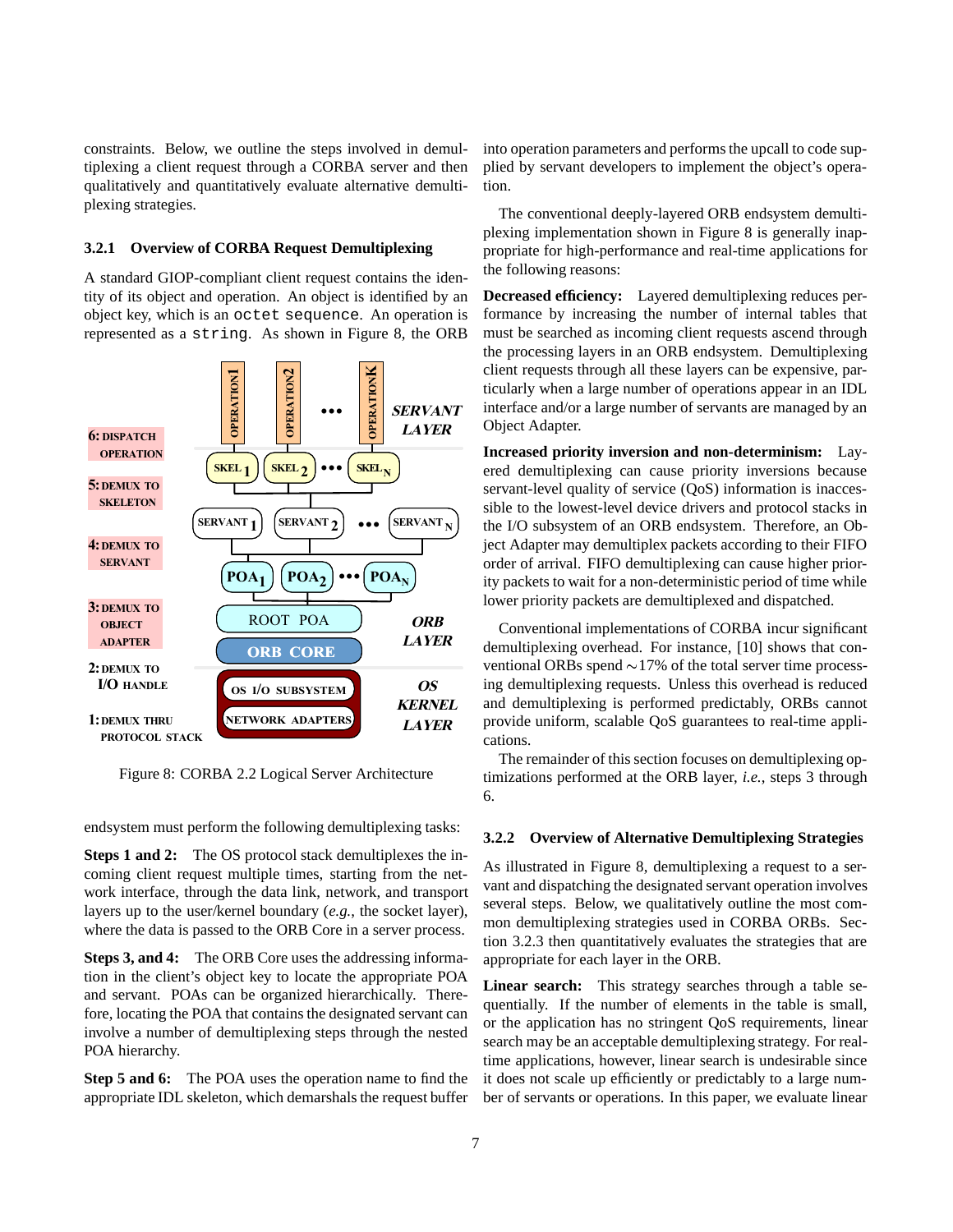constraints. Below, we outline the steps involved in demultiplexing a client request through a CORBA server and then qualitatively and quantitatively evaluate alternative demultiplexing strategies.

#### **3.2.1 Overview of CORBA Request Demultiplexing**

A standard GIOP-compliant client request contains the identity of its object and operation. An object is identified by an object key, which is an octet sequence. An operation is represented as a string. As shown in Figure 8, the ORB



Figure 8: CORBA 2.2 Logical Server Architecture

endsystem must perform the following demultiplexing tasks:

**Steps 1 and 2:** The OS protocol stack demultiplexes the incoming client request multiple times, starting from the network interface, through the data link, network, and transport layers up to the user/kernel boundary (*e.g.*, the socket layer), where the data is passed to the ORB Core in a server process.

**Steps 3, and 4:** The ORB Core uses the addressing information in the client's object key to locate the appropriate POA and servant. POAs can be organized hierarchically. Therefore, locating the POA that contains the designated servant can involve a number of demultiplexing steps through the nested POA hierarchy.

**Step 5 and 6:** The POA uses the operation name to find the appropriate IDL skeleton, which demarshals the request buffer into operation parameters and performs the upcall to code supplied by servant developers to implement the object's operation.

The conventional deeply-layered ORB endsystem demultiplexing implementation shown in Figure 8 is generally inappropriate for high-performance and real-time applications for the following reasons:

**Decreased efficiency:** Layered demultiplexing reduces performance by increasing the number of internal tables that must be searched as incoming client requests ascend through the processing layers in an ORB endsystem. Demultiplexing client requests through all these layers can be expensive, particularly when a large number of operations appear in an IDL interface and/or a large number of servants are managed by an Object Adapter.

**Increased priority inversion and non-determinism:** Layered demultiplexing can cause priority inversions because servant-level quality of service (QoS) information is inaccessible to the lowest-level device drivers and protocol stacks in the I/O subsystem of an ORB endsystem. Therefore, an Object Adapter may demultiplex packets according to their FIFO order of arrival. FIFO demultiplexing can cause higher priority packets to wait for a non-deterministic period of time while lower priority packets are demultiplexed and dispatched.

Conventional implementations of CORBA incur significant demultiplexing overhead. For instance, [10] shows that conventional ORBs spend  $\sim$ 17% of the total server time processing demultiplexing requests. Unless this overhead is reduced and demultiplexing is performed predictably, ORBs cannot provide uniform, scalable QoS guarantees to real-time applications.

The remainder of this section focuses on demultiplexing optimizations performed at the ORB layer, *i.e.*, steps 3 through 6.

#### **3.2.2 Overview of Alternative Demultiplexing Strategies**

As illustrated in Figure 8, demultiplexing a request to a servant and dispatching the designated servant operation involves several steps. Below, we qualitatively outline the most common demultiplexing strategies used in CORBA ORBs. Section 3.2.3 then quantitatively evaluates the strategies that are appropriate for each layer in the ORB.

**Linear search:** This strategy searches through a table sequentially. If the number of elements in the table is small, or the application has no stringent QoS requirements, linear search may be an acceptable demultiplexing strategy. For realtime applications, however, linear search is undesirable since it does not scale up efficiently or predictably to a large number of servants or operations. In this paper, we evaluate linear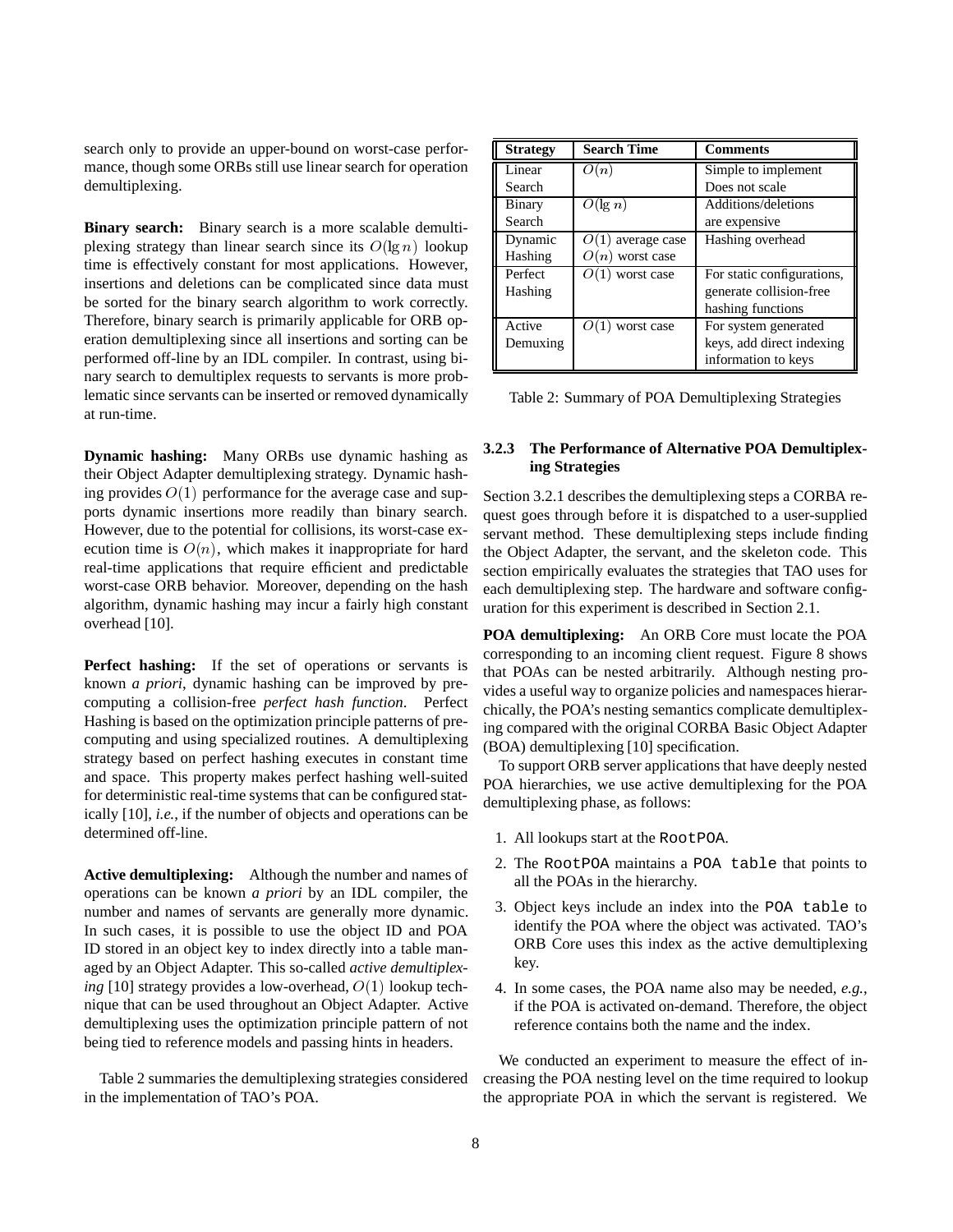search only to provide an upper-bound on worst-case performance, though some ORBs still use linear search for operation demultiplexing.

**Binary search:** Binary search is a more scalable demultiplexing strategy than linear search since its  $O(\lg n)$  lookup time is effectively constant for most applications. However, insertions and deletions can be complicated since data must be sorted for the binary search algorithm to work correctly. Therefore, binary search is primarily applicable for ORB operation demultiplexing since all insertions and sorting can be performed off-line by an IDL compiler. In contrast, using binary search to demultiplex requests to servants is more problematic since servants can be inserted or removed dynamically at run-time.

**Dynamic hashing:** Many ORBs use dynamic hashing as their Object Adapter demultiplexing strategy. Dynamic hashing provides  $O(1)$  performance for the average case and supports dynamic insertions more readily than binary search. However, due to the potential for collisions, its worst-case execution time is  $O(n)$ , which makes it inappropriate for hard real-time applications that require efficient and predictable worst-case ORB behavior. Moreover, depending on the hash algorithm, dynamic hashing may incur a fairly high constant overhead [10].

**Perfect hashing:** If the set of operations or servants is known *a priori*, dynamic hashing can be improved by precomputing a collision-free *perfect hash function*. Perfect Hashing is based on the optimization principle patterns of precomputing and using specialized routines. A demultiplexing strategy based on perfect hashing executes in constant time and space. This property makes perfect hashing well-suited for deterministic real-time systems that can be configured statically [10], *i.e.*, if the number of objects and operations can be determined off-line.

**Active demultiplexing:** Although the number and names of operations can be known *a priori* by an IDL compiler, the number and names of servants are generally more dynamic. In such cases, it is possible to use the object ID and POA ID stored in an object key to index directly into a table managed by an Object Adapter. This so-called *active demultiplexing* [10] strategy provides a low-overhead,  $O(1)$  lookup technique that can be used throughout an Object Adapter. Active demultiplexing uses the optimization principle pattern of not being tied to reference models and passing hints in headers.

Table 2 summaries the demultiplexing strategies considered in the implementation of TAO's POA.

| <b>Strategy</b> | <b>Search Time</b>  | <b>Comments</b>            |
|-----------------|---------------------|----------------------------|
| Linear          | O(n)                | Simple to implement        |
| Search          |                     | Does not scale             |
| Binary          | $O(\lg n)$          | Additions/deletions        |
| Search          |                     | are expensive              |
| Dynamic         | $O(1)$ average case | Hashing overhead           |
| Hashing         | $O(n)$ worst case   |                            |
| Perfect         | $O(1)$ worst case   | For static configurations, |
| Hashing         |                     | generate collision-free    |
|                 |                     | hashing functions          |
| Active          | $O(1)$ worst case   | For system generated       |
| Demuxing        |                     | keys, add direct indexing  |
|                 |                     | information to keys        |

Table 2: Summary of POA Demultiplexing Strategies

### **3.2.3 The Performance of Alternative POA Demultiplexing Strategies**

Section 3.2.1 describes the demultiplexing steps a CORBA request goes through before it is dispatched to a user-supplied servant method. These demultiplexing steps include finding the Object Adapter, the servant, and the skeleton code. This section empirically evaluates the strategies that TAO uses for each demultiplexing step. The hardware and software configuration for this experiment is described in Section 2.1.

**POA demultiplexing:** An ORB Core must locate the POA corresponding to an incoming client request. Figure 8 shows that POAs can be nested arbitrarily. Although nesting provides a useful way to organize policies and namespaces hierarchically, the POA's nesting semantics complicate demultiplexing compared with the original CORBA Basic Object Adapter (BOA) demultiplexing [10] specification.

To support ORB server applications that have deeply nested POA hierarchies, we use active demultiplexing for the POA demultiplexing phase, as follows:

- 1. All lookups start at the RootPOA.
- 2. The RootPOA maintains a POA table that points to all the POAs in the hierarchy.
- 3. Object keys include an index into the POA table to identify the POA where the object was activated. TAO's ORB Core uses this index as the active demultiplexing key.
- 4. In some cases, the POA name also may be needed, *e.g.*, if the POA is activated on-demand. Therefore, the object reference contains both the name and the index.

We conducted an experiment to measure the effect of increasing the POA nesting level on the time required to lookup the appropriate POA in which the servant is registered. We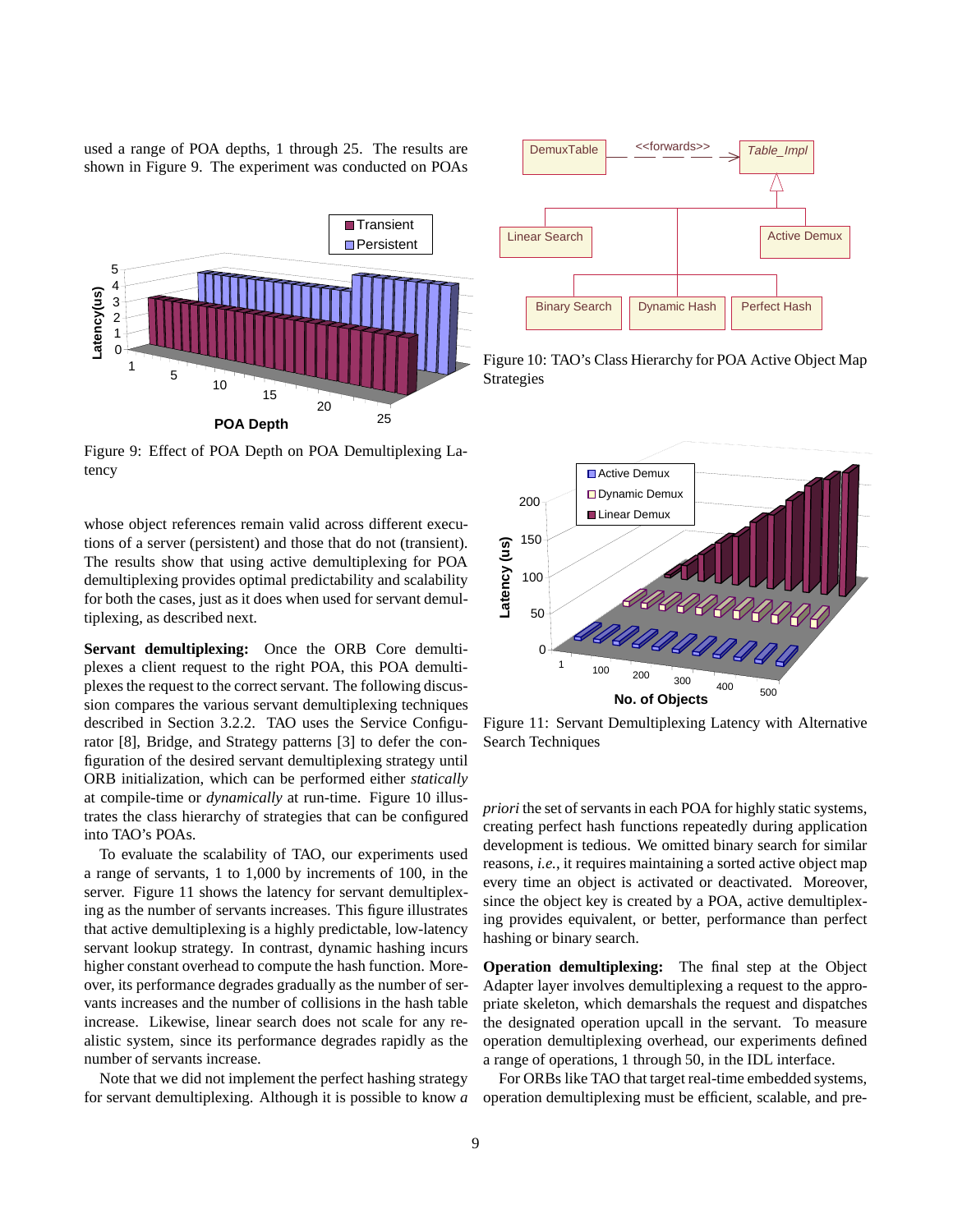used a range of POA depths, 1 through 25. The results are shown in Figure 9. The experiment was conducted on POAs



Figure 9: Effect of POA Depth on POA Demultiplexing Latency

whose object references remain valid across different executions of a server (persistent) and those that do not (transient). The results show that using active demultiplexing for POA demultiplexing provides optimal predictability and scalability for both the cases, just as it does when used for servant demultiplexing, as described next.

**Servant demultiplexing:** Once the ORB Core demultiplexes a client request to the right POA, this POA demultiplexes the request to the correct servant. The following discussion compares the various servant demultiplexing techniques described in Section 3.2.2. TAO uses the Service Configurator [8], Bridge, and Strategy patterns [3] to defer the configuration of the desired servant demultiplexing strategy until ORB initialization, which can be performed either *statically* at compile-time or *dynamically* at run-time. Figure 10 illustrates the class hierarchy of strategies that can be configured into TAO's POAs.

To evaluate the scalability of TAO, our experiments used a range of servants, 1 to 1,000 by increments of 100, in the server. Figure 11 shows the latency for servant demultiplexing as the number of servants increases. This figure illustrates that active demultiplexing is a highly predictable, low-latency servant lookup strategy. In contrast, dynamic hashing incurs higher constant overhead to compute the hash function. Moreover, its performance degrades gradually as the number of servants increases and the number of collisions in the hash table increase. Likewise, linear search does not scale for any realistic system, since its performance degrades rapidly as the number of servants increase.

Note that we did not implement the perfect hashing strategy for servant demultiplexing. Although it is possible to know *a*



Figure 10: TAO's Class Hierarchy for POA Active Object Map Strategies



Figure 11: Servant Demultiplexing Latency with Alternative Search Techniques

*priori* the set of servants in each POA for highly static systems, creating perfect hash functions repeatedly during application development is tedious. We omitted binary search for similar reasons, *i.e.*, it requires maintaining a sorted active object map every time an object is activated or deactivated. Moreover, since the object key is created by a POA, active demultiplexing provides equivalent, or better, performance than perfect hashing or binary search.

**Operation demultiplexing:** The final step at the Object Adapter layer involves demultiplexing a request to the appropriate skeleton, which demarshals the request and dispatches the designated operation upcall in the servant. To measure operation demultiplexing overhead, our experiments defined a range of operations, 1 through 50, in the IDL interface.

For ORBs like TAO that target real-time embedded systems, operation demultiplexing must be efficient, scalable, and pre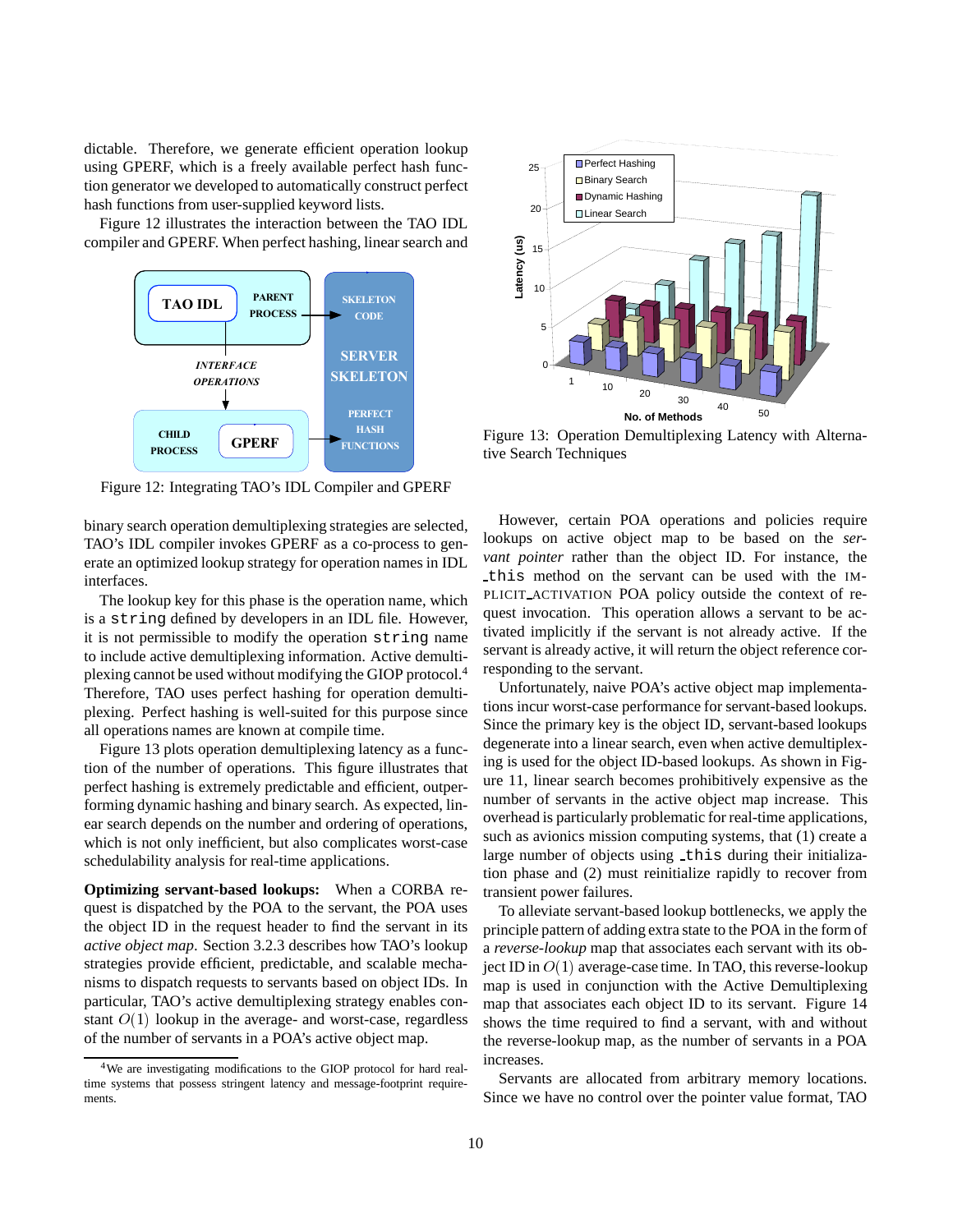dictable. Therefore, we generate efficient operation lookup using GPERF, which is a freely available perfect hash function generator we developed to automatically construct perfect hash functions from user-supplied keyword lists.

Figure 12 illustrates the interaction between the TAO IDL compiler and GPERF. When perfect hashing, linear search and



Figure 12: Integrating TAO's IDL Compiler and GPERF

binary search operation demultiplexing strategies are selected, TAO's IDL compiler invokes GPERF as a co-process to generate an optimized lookup strategy for operation names in IDL interfaces.

The lookup key for this phase is the operation name, which is a string defined by developers in an IDL file. However, it is not permissible to modify the operation string name to include active demultiplexing information. Active demultiplexing cannot be used without modifying the GIOP protocol.4 Therefore, TAO uses perfect hashing for operation demultiplexing. Perfect hashing is well-suited for this purpose since all operations names are known at compile time.

Figure 13 plots operation demultiplexing latency as a function of the number of operations. This figure illustrates that perfect hashing is extremely predictable and efficient, outperforming dynamic hashing and binary search. As expected, linear search depends on the number and ordering of operations, which is not only inefficient, but also complicates worst-case schedulability analysis for real-time applications.

**Optimizing servant-based lookups:** When a CORBA request is dispatched by the POA to the servant, the POA uses the object ID in the request header to find the servant in its *active object map*. Section 3.2.3 describes how TAO's lookup strategies provide efficient, predictable, and scalable mechanisms to dispatch requests to servants based on object IDs. In particular, TAO's active demultiplexing strategy enables constant  $O(1)$  lookup in the average- and worst-case, regardless of the number of servants in a POA's active object map.



Figure 13: Operation Demultiplexing Latency with Alternative Search Techniques

However, certain POA operations and policies require lookups on active object map to be based on the *servant pointer* rather than the object ID. For instance, the this method on the servant can be used with the IM-PLICIT ACTIVATION POA policy outside the context of request invocation. This operation allows a servant to be activated implicitly if the servant is not already active. If the servant is already active, it will return the object reference corresponding to the servant.

Unfortunately, naive POA's active object map implementations incur worst-case performance for servant-based lookups. Since the primary key is the object ID, servant-based lookups degenerate into a linear search, even when active demultiplexing is used for the object ID-based lookups. As shown in Figure 11, linear search becomes prohibitively expensive as the number of servants in the active object map increase. This overhead is particularly problematic for real-time applications, such as avionics mission computing systems, that  $(1)$  create a large number of objects using this during their initialization phase and (2) must reinitialize rapidly to recover from transient power failures.

To alleviate servant-based lookup bottlenecks, we apply the principle pattern of adding extra state to the POA in the form of a *reverse-lookup* map that associates each servant with its object ID in  $O(1)$  average-case time. In TAO, this reverse-lookup map is used in conjunction with the Active Demultiplexing map that associates each object ID to its servant. Figure 14 shows the time required to find a servant, with and without the reverse-lookup map, as the number of servants in a POA increases.

Servants are allocated from arbitrary memory locations. Since we have no control over the pointer value format, TAO

<sup>4</sup>We are investigating modifications to the GIOP protocol for hard realtime systems that possess stringent latency and message-footprint requirements.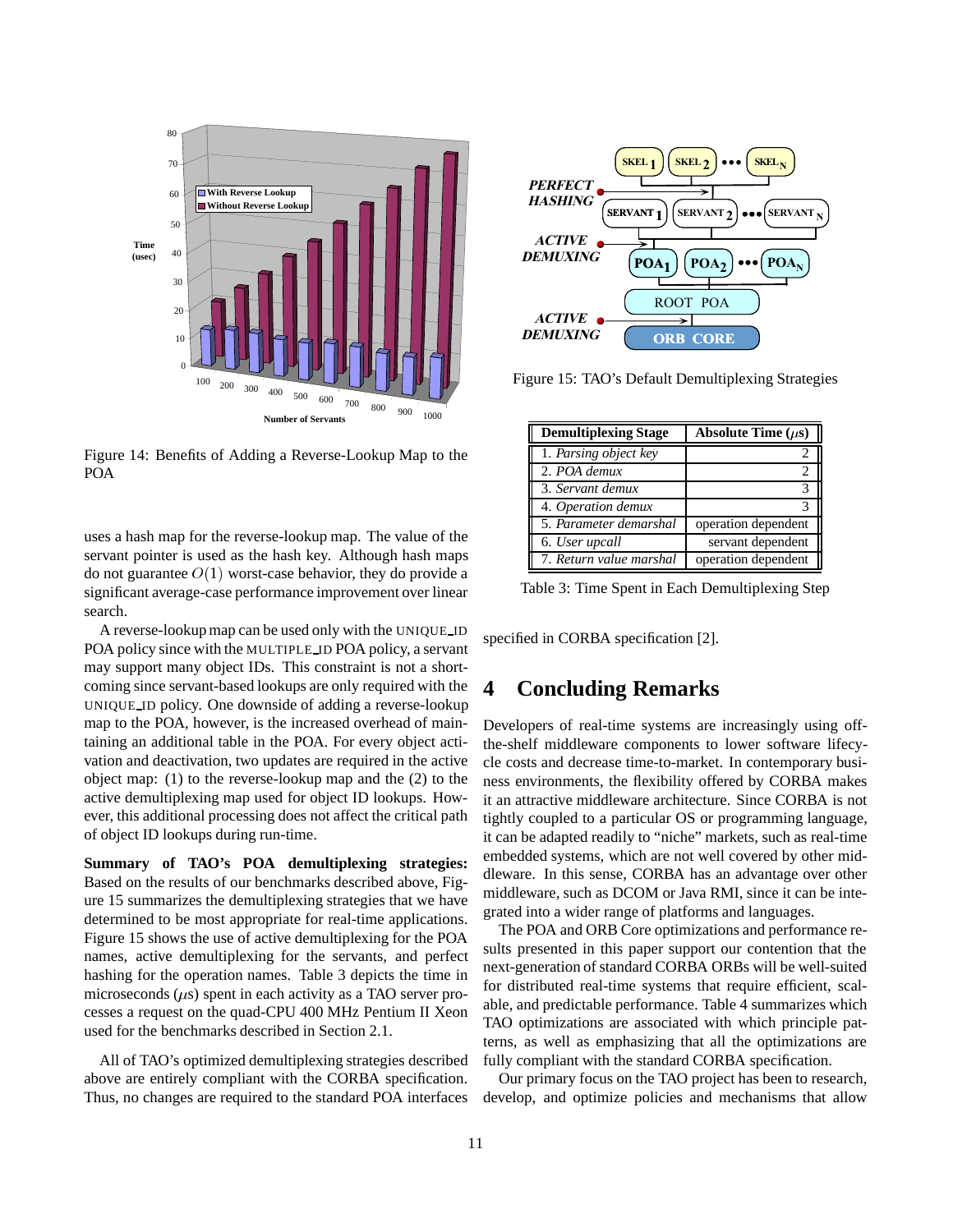

Figure 14: Benefits of Adding a Reverse-Lookup Map to the POA

uses a hash map for the reverse-lookup map. The value of the servant pointer is used as the hash key. Although hash maps do not guarantee  $O(1)$  worst-case behavior, they do provide a significant average-case performance improvement over linear search.

A reverse-lookup map can be used only with the UNIQUE ID POA policy since with the MULTIPLE ID POA policy, a servant may support many object IDs. This constraint is not a shortcoming since servant-based lookups are only required with the UNIQUE ID policy. One downside of adding a reverse-lookup map to the POA, however, is the increased overhead of maintaining an additional table in the POA. For every object activation and deactivation, two updates are required in the active object map: (1) to the reverse-lookup map and the (2) to the active demultiplexing map used for object ID lookups. However, this additional processing does not affect the critical path of object ID lookups during run-time.

**Summary of TAO's POA demultiplexing strategies:** Based on the results of our benchmarks described above, Figure 15 summarizes the demultiplexing strategies that we have determined to be most appropriate for real-time applications. Figure 15 shows the use of active demultiplexing for the POA names, active demultiplexing for the servants, and perfect hashing for the operation names. Table 3 depicts the time in microseconds  $(\mu s)$  spent in each activity as a TAO server processes a request on the quad-CPU 400 MHz Pentium II Xeon used for the benchmarks described in Section 2.1.

All of TAO's optimized demultiplexing strategies described above are entirely compliant with the CORBA specification. Thus, no changes are required to the standard POA interfaces



Figure 15: TAO's Default Demultiplexing Strategies

| <b>Demultiplexing Stage</b> | Absolute Time $(\mu s)$ |
|-----------------------------|-------------------------|
| 1. Parsing object key       |                         |
| 2. POA demux                |                         |
| 3. Servant demux            |                         |
| 4. Operation demux          |                         |
| 5. Parameter demarshal      | operation dependent     |
| 6. User upcall              | servant dependent       |
| 7. Return value marshal     | operation dependent     |

Table 3: Time Spent in Each Demultiplexing Step

specified in CORBA specification [2].

### **4 Concluding Remarks**

Developers of real-time systems are increasingly using offthe-shelf middleware components to lower software lifecycle costs and decrease time-to-market. In contemporary business environments, the flexibility offered by CORBA makes it an attractive middleware architecture. Since CORBA is not tightly coupled to a particular OS or programming language, it can be adapted readily to "niche" markets, such as real-time embedded systems, which are not well covered by other middleware. In this sense, CORBA has an advantage over other middleware, such as DCOM or Java RMI, since it can be integrated into a wider range of platforms and languages.

The POA and ORB Core optimizations and performance results presented in this paper support our contention that the next-generation of standard CORBA ORBs will be well-suited for distributed real-time systems that require efficient, scalable, and predictable performance. Table 4 summarizes which TAO optimizations are associated with which principle patterns, as well as emphasizing that all the optimizations are fully compliant with the standard CORBA specification.

Our primary focus on the TAO project has been to research, develop, and optimize policies and mechanisms that allow